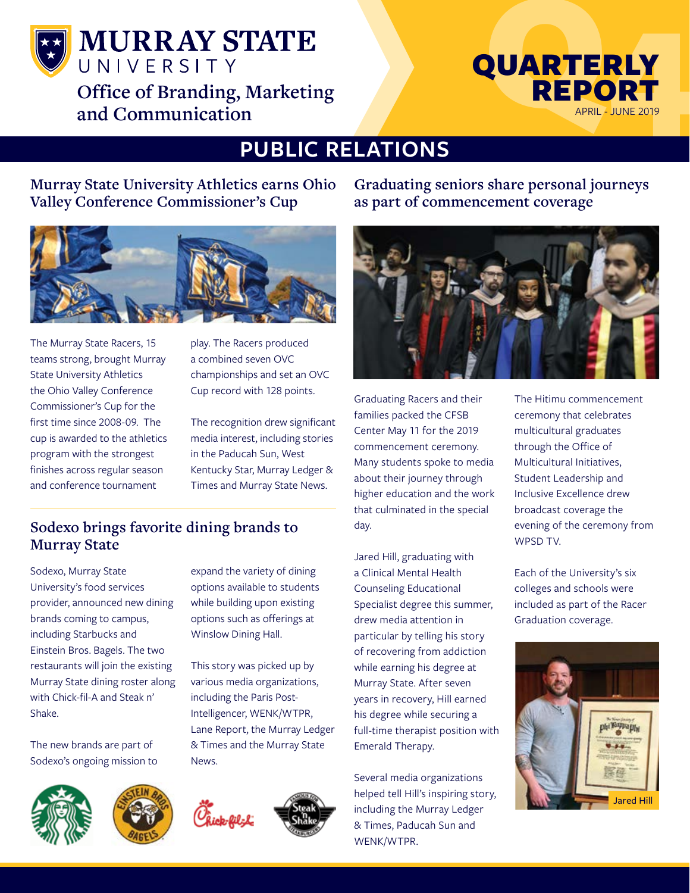

**MURRAY STATE** UNIVERSITY **Office of Branding, Marketing and Communication**



# **PUBLIC RELATIONS**

**Murray State University Athletics earns Ohio Valley Conference Commissioner's Cup**



The Murray State Racers, 15 teams strong, brought Murray State University Athletics the Ohio Valley Conference Commissioner's Cup for the first time since 2008-09. The cup is awarded to the athletics program with the strongest finishes across regular season and conference tournament

play. The Racers produced a combined seven OVC championships and set an OVC Cup record with 128 points.

The recognition drew significant media interest, including stories in the Paducah Sun, West Kentucky Star, Murray Ledger & Times and Murray State News.

### **Sodexo brings favorite dining brands to Murray State**

Sodexo, Murray State University's food services provider, announced new dining brands coming to campus, including Starbucks and Einstein Bros. Bagels. The two restaurants will join the existing Murray State dining roster along with Chick-fil-A and Steak n' Shake.

The new brands are part of Sodexo's ongoing mission to





expand the variety of dining options available to students while building upon existing options such as offerings at Winslow Dining Hall.

This story was picked up by various media organizations, including the Paris Post-Intelligencer, WENK/WTPR, Lane Report, the Murray Ledger & Times and the Murray State News.



**Graduating seniors share personal journeys as part of commencement coverage**



Graduating Racers and their families packed the CFSB Center May 11 for the 2019 commencement ceremony. Many students spoke to media about their journey through higher education and the work that culminated in the special day.

Jared Hill, graduating with a Clinical Mental Health Counseling Educational Specialist degree this summer, drew media attention in particular by telling his story of recovering from addiction while earning his degree at Murray State. After seven years in recovery, Hill earned his degree while securing a full-time therapist position with Emerald Therapy.

Several media organizations helped tell Hill's inspiring story, including the Murray Ledger & Times, Paducah Sun and WENK/WTPR.

The Hitimu commencement ceremony that celebrates multicultural graduates through the Office of Multicultural Initiatives, Student Leadership and Inclusive Excellence drew broadcast coverage the evening of the ceremony from WPSD TV.

Each of the University's six colleges and schools were included as part of the Racer Graduation coverage.

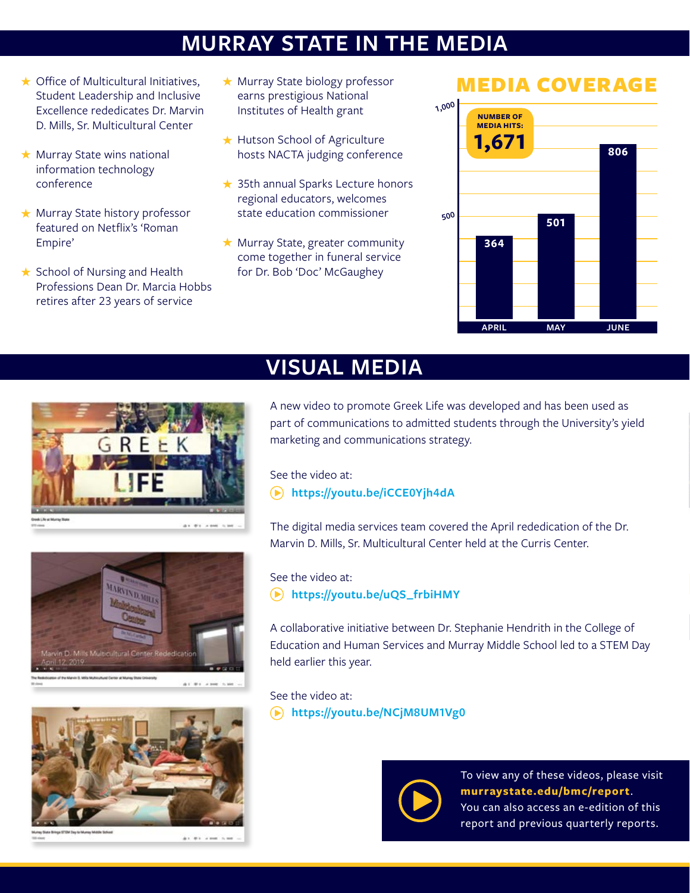# **MURRAY STATE IN THE MEDIA**

- $\star$  Office of Multicultural Initiatives, Student Leadership and Inclusive Excellence rededicates Dr. Marvin D. Mills, Sr. Multicultural Center
- $\star$  Murray State wins national information technology conference
- ★ Murray State history professor featured on Netflix's 'Roman Empire'
- $\star$  School of Nursing and Health Professions Dean Dr. Marcia Hobbs retires after 23 years of service
- $\star$  Murray State biology professor earns prestigious National Institutes of Health grant
- ★ Hutson School of Agriculture hosts NACTA judging conference
- **★ 35th annual Sparks Lecture honors** regional educators, welcomes state education commissioner
- $\star$  Murray State, greater community come together in funeral service for Dr. Bob 'Doc' McGaughey

### MEDIA COVERAGE







#### ........



At #1 2 mm 51

### **VISUAL MEDIA**

A new video to promote Greek Life was developed and has been used as part of communications to admitted students through the University's yield marketing and communications strategy.

See the video at:

 **<https://youtu.be/iCCE0Yjh4dA>**

The digital media services team covered the April rededication of the Dr. Marvin D. Mills, Sr. Multicultural Center held at the Curris Center.

### See the video at:

**[https://youtu.be/uQS\\_frbiHMY](https://youtu.be/uQS_frbiHMY)**

A collaborative initiative between Dr. Stephanie Hendrith in the College of Education and Human Services and Murray Middle School led to a STEM Day held earlier this year.

#### See the video at:

**<https://youtu.be/NCjM8UM1Vg0>**



To view any of these videos, please visit **[murraystate.edu/bmc/report](http://murraystate.edu/bmc/report)**. You can also access an e-edition of this report and previous quarterly reports.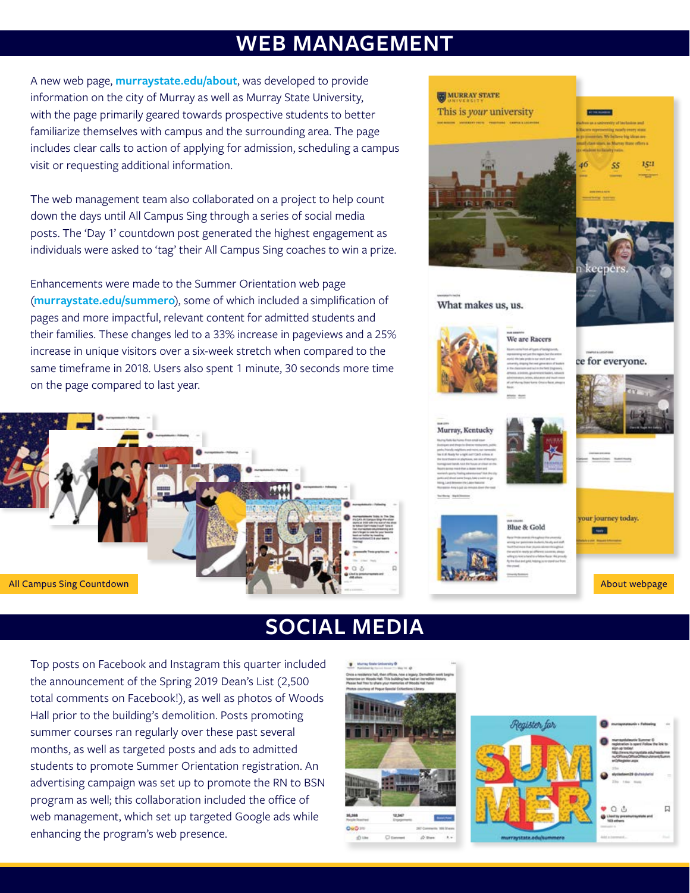### **WEB MANAGEMENT**

A new web page, **[murraystate.edu/about](http://murraystate.edu/about)**, was developed to provide information on the city of Murray as well as Murray State University, with the page primarily geared towards prospective students to better familiarize themselves with campus and the surrounding area. The page includes clear calls to action of applying for admission, scheduling a campus visit or requesting additional information.

The web management team also collaborated on a project to help count down the days until All Campus Sing through a series of social media posts. The 'Day 1' countdown post generated the highest engagement as individuals were asked to 'tag' their All Campus Sing coaches to win a prize.

Enhancements were made to the Summer Orientation web page (**[murraystate.edu/summero](http://murraystate.edu/summero)**), some of which included a simplification of pages and more impactful, relevant content for admitted students and their families. These changes led to a 33% increase in pageviews and a 25% increase in unique visitors over a six-week stretch when compared to the same timeframe in 2018. Users also spent 1 minute, 30 seconds more time on the page compared to last year.





### **SOCIAL MEDIA**

Top posts on Facebook and Instagram this quarter included the announcement of the Spring 2019 Dean's List (2,500 total comments on Facebook!), as well as photos of Woods Hall prior to the building's demolition. Posts promoting summer courses ran regularly over these past several months, as well as targeted posts and ads to admitted students to promote Summer Orientation registration. An advertising campaign was set up to promote the RN to BSN program as well; this collaboration included the office of web management, which set up targeted Google ads while enhancing the program's web presence.